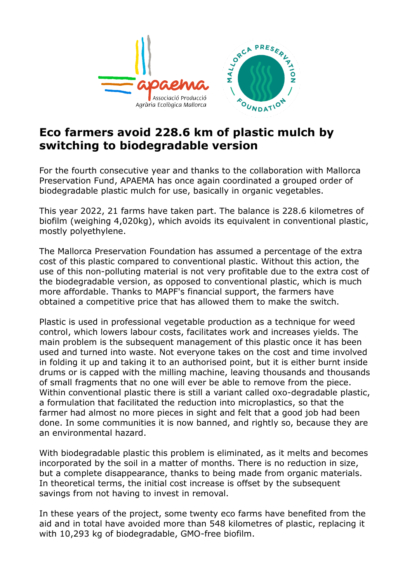

## **Eco farmers avoid 228.6 km of plastic mulch by switching to biodegradable version**

For the fourth consecutive year and thanks to the collaboration with Mallorca Preservation Fund, APAEMA has once again coordinated a grouped order of biodegradable plastic mulch for use, basically in organic vegetables.

This year 2022, 21 farms have taken part. The balance is 228.6 kilometres of biofilm (weighing 4,020kg), which avoids its equivalent in conventional plastic, mostly polyethylene.

The Mallorca Preservation Foundation has assumed a percentage of the extra cost of this plastic compared to conventional plastic. Without this action, the use of this non-polluting material is not very profitable due to the extra cost of the biodegradable version, as opposed to conventional plastic, which is much more affordable. Thanks to MAPF's financial support, the farmers have obtained a competitive price that has allowed them to make the switch.

Plastic is used in professional vegetable production as a technique for weed control, which lowers labour costs, facilitates work and increases yields. The main problem is the subsequent management of this plastic once it has been used and turned into waste. Not everyone takes on the cost and time involved in folding it up and taking it to an authorised point, but it is either burnt inside drums or is capped with the milling machine, leaving thousands and thousands of small fragments that no one will ever be able to remove from the piece. Within conventional plastic there is still a variant called oxo-degradable plastic, a formulation that facilitated the reduction into microplastics, so that the farmer had almost no more pieces in sight and felt that a good job had been done. In some communities it is now banned, and rightly so, because they are an environmental hazard.

With biodegradable plastic this problem is eliminated, as it melts and becomes incorporated by the soil in a matter of months. There is no reduction in size, but a complete disappearance, thanks to being made from organic materials. In theoretical terms, the initial cost increase is offset by the subsequent savings from not having to invest in removal.

In these years of the project, some twenty eco farms have benefited from the aid and in total have avoided more than 548 kilometres of plastic, replacing it with 10,293 kg of biodegradable, GMO-free biofilm.